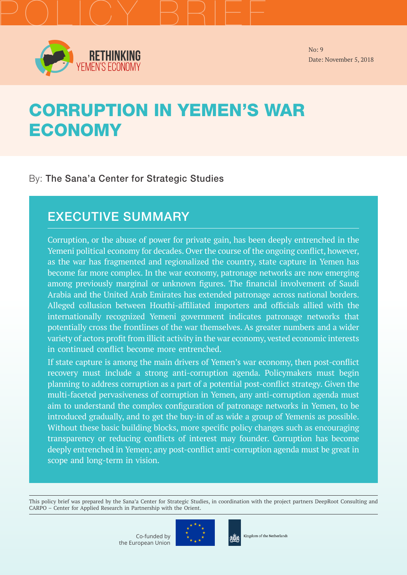

**RETHINKING**<br>FEMEN'S ECONOMY

No: 9 Date: November 5, 2018

# CORRUPTION IN YEMEN'S WAR **ECONOMY**

### By: The Sana'a Center for Strategic Studies

# EXECUTIVE SUMMARY

Corruption, or the abuse of power for private gain, has been deeply entrenched in the Yemeni political economy for decades. Over the course of the ongoing conflict, however, as the war has fragmented and regionalized the country, state capture in Yemen has become far more complex. In the war economy, patronage networks are now emerging among previously marginal or unknown figures. The financial involvement of Saudi Arabia and the United Arab Emirates has extended patronage across national borders. Alleged collusion between Houthi-affiliated importers and officials allied with the internationally recognized Yemeni government indicates patronage networks that potentially cross the frontlines of the war themselves. As greater numbers and a wider variety of actors profit from illicit activity in the war economy, vested economic interests in continued conflict become more entrenched.

If state capture is among the main drivers of Yemen's war economy, then post-conflict recovery must include a strong anti-corruption agenda. Policymakers must begin planning to address corruption as a part of a potential post-conflict strategy. Given the multi-faceted pervasiveness of corruption in Yemen, any anti-corruption agenda must aim to understand the complex configuration of patronage networks in Yemen, to be introduced gradually, and to get the buy-in of as wide a group of Yemenis as possible. Without these basic building blocks, more specific policy changes such as encouraging transparency or reducing conflicts of interest may founder. Corruption has become deeply entrenched in Yemen; any post-conflict anti-corruption agenda must be great in scope and long-term in vision.

This policy brief was prepared by the Sana'a Center for Strategic Studies, in coordination with the project partners DeepRoot Consulting and CARPO – Center for Applied Research in Partnership with the Orient.



Kingdom of the Netherlands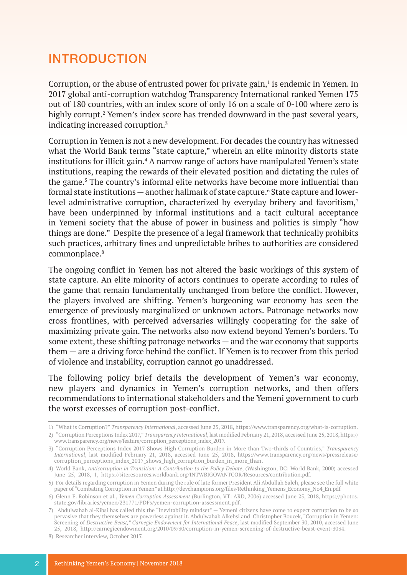# INTRODUCTION

Corruption, or the abuse of entrusted power for private gain, $<sup>1</sup>$  is endemic in Yemen. In</sup> 2017 global anti-corruption watchdog Transparency International ranked Yemen 175 out of 180 countries, with an index score of only 16 on a scale of 0-100 where zero is highly corrupt.<sup>2</sup> Yemen's index score has trended downward in the past several years, indicating increased corruption.3

Corruption in Yemen is not a new development. For decades the country has witnessed what the World Bank terms "state capture," wherein an elite minority distorts state institutions for illicit gain.<sup>4</sup> A narrow range of actors have manipulated Yemen's state institutions, reaping the rewards of their elevated position and dictating the rules of the game.<sup>5</sup> The country's informal elite networks have become more influential than formal state institutions – another hallmark of state capture.<sup>6</sup> State capture and lowerlevel administrative corruption, characterized by everyday bribery and favoritism,<sup>7</sup> have been underpinned by informal institutions and a tacit cultural acceptance in Yemeni society that the abuse of power in business and politics is simply "how things are done." Despite the presence of a legal framework that technically prohibits such practices, arbitrary fines and unpredictable bribes to authorities are considered commonplace.8

The ongoing conflict in Yemen has not altered the basic workings of this system of state capture. An elite minority of actors continues to operate according to rules of the game that remain fundamentally unchanged from before the conflict. However, the players involved are shifting. Yemen's burgeoning war economy has seen the emergence of previously marginalized or unknown actors. Patronage networks now cross frontlines, with perceived adversaries willingly cooperating for the sake of maximizing private gain. The networks also now extend beyond Yemen's borders. To some extent, these shifting patronage networks — and the war economy that supports them — are a driving force behind the conflict. If Yemen is to recover from this period of violence and instability, corruption cannot go unaddressed.

The following policy brief details the development of Yemen's war economy, new players and dynamics in Yemen's corruption networks, and then offers recommendations to international stakeholders and the Yemeni government to curb the worst excesses of corruption post-conflict.

<sup>1)</sup> "What is Corruption?" *Transparency International*, accessed June 25, 2018, [https://www.transparency.org/what-is-corruption.](https://www.transparency.org/what-is-corruption)

<sup>2)</sup> "Corruption Perceptions Index 2017," *Transparency International*, last modified February 21, 2018, accessed June 25, 2018, [https://](https://www.transparency.org/news/feature/corruption_perceptions_index_2017) [www.transparency.org/news/feature/corruption\\_perceptions\\_index\\_2017.](https://www.transparency.org/news/feature/corruption_perceptions_index_2017)

<sup>3)</sup> "Corruption Perceptions Index 2017 Shows High Corruption Burden in More than Two-thirds of Countries," *Transparency International*, last modified February 21, 2018, accessed June 25, 2018, [https://www.transparency.org/news/pressrelease/](https://www.transparency.org/news/pressrelease/corruption_perceptions_index_2017_shows_high_corruption_burden_in_more_than) corruption perceptions index 2017 shows high corruption burden in more than.

<sup>4)</sup> World Bank, *Anticorruption in Transition: A Contribution to the Policy Debate*, (Washington, DC: World Bank, 2000) accessed June 25, 2018, 1, <https://siteresources.worldbank.org/INTWBIGOVANTCOR/Resources/contribution.pdf>.

<sup>5)</sup> For details regarding corruption in Yemen during the rule of late former President Ali Abdullah Saleh, please see the full white paper of "Combating Corruption in Yemen" at [http://devchampions.org/files/Rethinking\\_Yemens\\_Economy\\_No4\\_En.pdf](http://devchampions.org/files/Rethinking_Yemens_Economy_No4_En.pdf)

<sup>6)</sup> Glenn E. Robinson et al., *Yemen Corruption Assessment* (Burlington, VT: ARD, 2006) accessed June 25, 2018, [https://photos.](https://photos.state.gov/libraries/yemen/231771/PDFs/yemen-corruption-assessment.pdf) [state.gov/libraries/yemen/231771/PDFs/yemen-corruption-assessment.pdf](https://photos.state.gov/libraries/yemen/231771/PDFs/yemen-corruption-assessment.pdf).

<sup>7)</sup> Abdulwahab al-Kibsi has called this the "inevitability mindset" — Yemeni citizens have come to expect corruption to be so pervasive that they themselves are powerless against it. Abdulwahab Alkebsi and Christopher Boucek, "Corruption in Yemen: Screening of *Destructive Beast," Carnegie Endowment for International Peace*, last modified September 30, 2010, accessed June 25, 2018, [http://carnegieendowment.org/2010/09/30/corruption-in-yemen-screening-of-destructive-beast-event-3034.](http://carnegieendowment.org/2010/09/30/corruption-in-yemen-screening-of-destructive-beast-event-303)

<sup>8)</sup> Researcher interview, October 2017.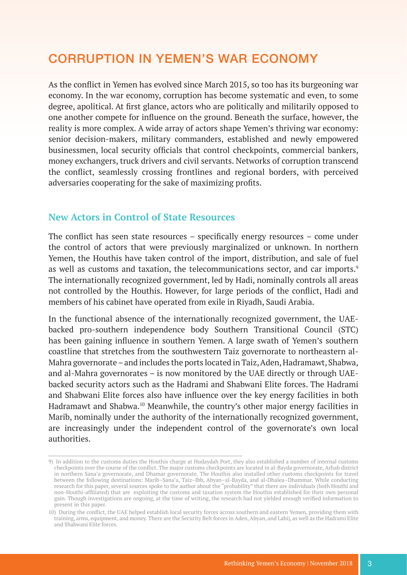# CORRUPTION IN YEMEN'S WAR ECONOMY

As the conflict in Yemen has evolved since March 2015, so too has its burgeoning war economy. In the war economy, corruption has become systematic and even, to some degree, apolitical. At first glance, actors who are politically and militarily opposed to one another compete for influence on the ground. Beneath the surface, however, the reality is more complex. A wide array of actors shape Yemen's thriving war economy: senior decision-makers, military commanders, established and newly empowered businessmen, local security officials that control checkpoints, commercial bankers, money exchangers, truck drivers and civil servants. Networks of corruption transcend the conflict, seamlessly crossing frontlines and regional borders, with perceived adversaries cooperating for the sake of maximizing profits.

#### **New Actors in Control of State Resources**

The conflict has seen state resources – specifically energy resources – come under the control of actors that were previously marginalized or unknown. In northern Yemen, the Houthis have taken control of the import, distribution, and sale of fuel as well as customs and taxation, the telecommunications sector, and car imports.<sup>9</sup> The internationally recognized government, led by Hadi, nominally controls all areas not controlled by the Houthis. However, for large periods of the conflict, Hadi and members of his cabinet have operated from exile in Riyadh, Saudi Arabia.

In the functional absence of the internationally recognized government, the UAEbacked pro-southern independence body Southern Transitional Council (STC) has been gaining influence in southern Yemen. A large swath of Yemen's southern coastline that stretches from the southwestern Taiz governorate to northeastern al-Mahra governorate – and includes the ports located in Taiz, Aden, Hadramawt, Shabwa, and al-Mahra governorates – is now monitored by the UAE directly or through UAEbacked security actors such as the Hadrami and Shabwani Elite forces. The Hadrami and Shabwani Elite forces also have influence over the key energy facilities in both Hadramawt and Shabwa.10 Meanwhile, the country's other major energy facilities in Marib, nominally under the authority of the internationally recognized government, are increasingly under the independent control of the governorate's own local authorities.

<sup>9)</sup> In addition to the customs duties the Houthis charge at Hudaydah Port, they also established a number of internal customs checkpoints over the course of the conflict. The major customs checkpoints are located in al-Bayda governorate, Arhab district in northern Sana'a governorate, and Dhamar governorate. The Houthis also installed other customs checkpoints for travel between the following destinations: Marib–Sana'a, Taiz–Ibb, Abyan–al-Bayda, and al-Dhalea–Dhammar. While conducting research for this paper, several sources spoke to the author about the "probability" that there are individuals (both Houthi and non-Houthi-affiliated) that are exploiting the customs and taxation system the Houthis established for their own personal gain. Though investigations are ongoing, at the time of writing, the research had not yielded enough verified information to present in this paper.

<sup>10)</sup> During the conflict, the UAE helped establish local security forces across southern and eastern Yemen, providing them with training, arms, equipment, and money. There are the Security Belt forces in Aden, Abyan, and Lahij, as well as the Hadrami Elite and Shabwani Elite forces.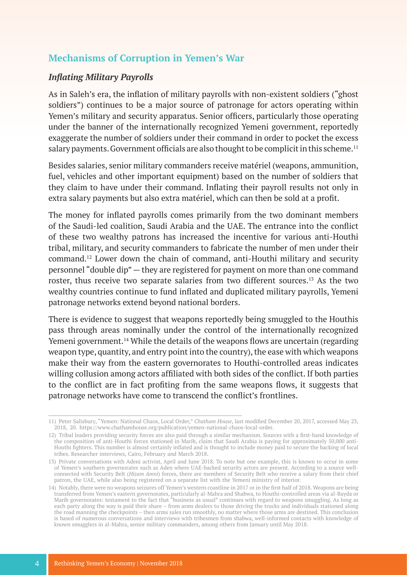### **Mechanisms of Corruption in Yemen's War**

#### *Inflating Military Payrolls*

As in Saleh's era, the inflation of military payrolls with non-existent soldiers ("ghost soldiers") continues to be a major source of patronage for actors operating within Yemen's military and security apparatus. Senior officers, particularly those operating under the banner of the internationally recognized Yemeni government, reportedly exaggerate the number of soldiers under their command in order to pocket the excess salary payments. Government officials are also thought to be complicit in this scheme.<sup>11</sup>

Besides salaries, senior military commanders receive matériel (weapons, ammunition, fuel, vehicles and other important equipment) based on the number of soldiers that they claim to have under their command. Inflating their payroll results not only in extra salary payments but also extra matériel, which can then be sold at a profit.

The money for inflated payrolls comes primarily from the two dominant members of the Saudi-led coalition, Saudi Arabia and the UAE. The entrance into the conflict of these two wealthy patrons has increased the incentive for various anti-Houthi tribal, military, and security commanders to fabricate the number of men under their command.12 Lower down the chain of command, anti-Houthi military and security personnel "double dip" — they are registered for payment on more than one command roster, thus receive two separate salaries from two different sources.13 As the two wealthy countries continue to fund inflated and duplicated military payrolls, Yemeni patronage networks extend beyond national borders.

There is evidence to suggest that weapons reportedly being smuggled to the Houthis pass through areas nominally under the control of the internationally recognized Yemeni government.<sup>14</sup> While the details of the weapons flows are uncertain (regarding weapon type, quantity, and entry point into the country), the ease with which weapons make their way from the eastern governorates to Houthi-controlled areas indicates willing collusion among actors affiliated with both sides of the conflict. If both parties to the conflict are in fact profiting from the same weapons flows, it suggests that patronage networks have come to transcend the conflict's frontlines.

<sup>11)</sup> Peter Salisbury, "Yemen: National Chaos, Local Order," *Chatham House*, last modified December 20, 2017, accessed May 23, 2018, 20. <https://www.chathamhouse.org/publication/yemen-national-chaos-local-order>.

<sup>12)</sup> Tribal leaders providing security forces are also paid through a similar mechanism. Sources with a first-hand knowledge of the composition of anti-Houthi forces stationed in Marib, claim that Saudi Arabia is paying for approximately 50,000 anti-Houthi fighters. This number is almost certainly inflated and is thought to include money paid to secure the backing of local tribes. Researcher interviews, Cairo, February and March 2018.

<sup>13)</sup> Private conversations with Adeni activist, April and June 2018. To note but one example, this is known to occur in some of Yemen's southern governorates such as Aden where UAE-backed security actors are present. According to a source wellconnected with Security Belt (*Hizam Amni*) forces, there are members of Security Belt who receive a salary from their chief patron, the UAE, while also being registered on a separate list with the Yemeni ministry of interior.

<sup>14)</sup> Notably, there were no weapons seizures off Yemen's western coastline in 2017 or in the first half of 2018. Weapons are being transferred from Yemen's eastern governorates, particularly al-Mahra and Shabwa, to Houthi-controlled areas via al-Bayda or Marib governorates: testament to the fact that "business as usual" continues with regard to weapons smuggling. As long as each party along the way is paid their share – from arms dealers to those driving the trucks and individuals stationed along the road manning the checkpoints – then arms sales run smoothly, no matter where those arms are destined. This conclusion is based of numerous conversations and interviews with tribesmen from shabwa, well-informed contacts with knowledge of known smugglers in al-Mahra, senior military commanders, among others from January until May 2018.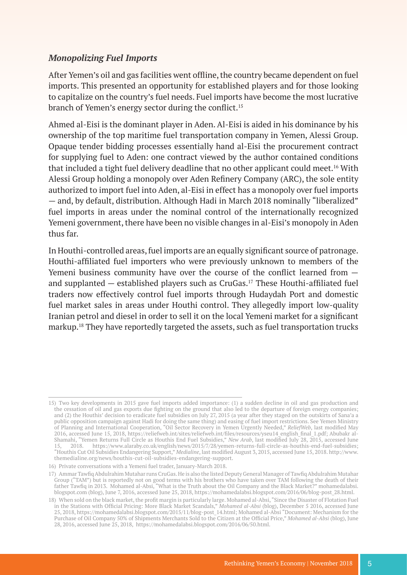#### *Monopolizing Fuel Imports*

After Yemen's oil and gas facilities went offline, the country became dependent on fuel imports. This presented an opportunity for established players and for those looking to capitalize on the country's fuel needs. Fuel imports have become the most lucrative branch of Yemen's energy sector during the conflict.<sup>15</sup>

Ahmed al-Eisi is the dominant player in Aden. Al-Eisi is aided in his dominance by his ownership of the top maritime fuel transportation company in Yemen, Alessi Group. Opaque tender bidding processes essentially hand al-Eisi the procurement contract for supplying fuel to Aden: one contract viewed by the author contained conditions that included a tight fuel delivery deadline that no other applicant could meet.<sup>16</sup> With Alessi Group holding a monopoly over Aden Refinery Company (ARC), the sole entity authorized to import fuel into Aden, al-Eisi in effect has a monopoly over fuel imports — and, by default, distribution. Although Hadi in March 2018 nominally "liberalized" fuel imports in areas under the nominal control of the internationally recognized Yemeni government, there have been no visible changes in al-Eisi's monopoly in Aden thus far.

In Houthi-controlled areas, fuel imports are an equally significant source of patronage. Houthi-affiliated fuel importers who were previously unknown to members of the Yemeni business community have over the course of the conflict learned from and supplanted  $-$  established players such as CruGas.<sup>17</sup> These Houthi-affiliated fuel traders now effectively control fuel imports through Hudaydah Port and domestic fuel market sales in areas under Houthi control. They allegedly import low-quality Iranian petrol and diesel in order to sell it on the local Yemeni market for a significant markup.18 They have reportedly targeted the assets, such as fuel transportation trucks

<sup>15)</sup> Two key developments in 2015 gave fuel imports added importance: (1) a sudden decline in oil and gas production and the cessation of oil and gas exports due fighting on the ground that also led to the departure of foreign energy companies; and (2) the Houthis' decision to eradicate fuel subsidies on July 27, 2015 (a year after they staged on the outskirts of Sana'a a public opposition campaign against Hadi for doing the same thing) and easing of fuel import restrictions. See Yemen Ministry of Planning and International Cooperation, "Oil Sector Recovery in Yemen Urgently Needed," *ReliefWeb*, last modified May 2016, accessed June 15, 2018, [https://reliefweb.int/sites/reliefweb.int/files/resources/yseu14\\_english\\_final\\_1.pdf](https://reliefweb.int/sites/reliefweb.int/files/resources/yseu14_english_final_1.pdf); Abubakr al-Shamahi, "Yemen Returns Full Circle as Houthis End Fuel Subsidies," *New Arab*, last modified July 28, 2015, accessed June 15, 2018. [https://www.alaraby.co.uk/english/news/2015/7/28/yemen-returns-full-circle-as-houthis-end-fuel-subsidies;](https://www.alaraby.co.uk/english/news/2015/7/28/yemen-returns-full-circle-as-houthis-end-fuel-subsi) "Houthis Cut Oil Subsidies Endangering Support," *Medialine*, last modified August 3, 2015, accessed June 15, 2018. [http://www.](http://www.themedialine.org/news/houthis-cut-oil-subsidies-endangering-support) [themedialine.org/news/houthis-cut-oil-subsidies-endangering-support](http://www.themedialine.org/news/houthis-cut-oil-subsidies-endangering-support).

<sup>16)</sup> Private conversations with a Yemeni fuel trader, January-March 2018.

<sup>17)</sup> Ammar Tawfiq Abdulrahim Mutahar runs CruGas. He is also the listed Deputy General Manager of Tawfiq Abdulrahim Mutahar Group ("TAM") but is reportedly not on good terms with his brothers who have taken over TAM following the death of their father Tawfiq in 2013. Mohamed al-Absi, "What is the Truth about the Oil Company and the Black Market?" [mohamedalabsi.](http://mohamedalabsi.blogspot.com) [blogspot.com](http://mohamedalabsi.blogspot.com) (blog), June 7, 2016, accessed June 25, 2018, [https://mohamedalabsi.blogspot.com/2016/06/blog-post\\_28.html.](https://mohamedalabsi.blogspot.com/2016/06/blog-post_28.html)

<sup>18)</sup> When sold on the black market, the profit margin is particularly large. Mohamed al-Absi, "Since the Disaster of Flotation Fuel in the Stations with Official Pricing: More Black Market Scandals," *Mohamed al-Absi* (blog), December 5 2016, accessed June 25, 2018, [https://mohamedalabsi.blogspot.com/2015/11/blog-post\\_14.html](https://mohamedalabsi.blogspot.com/2015/11/blog-post_14.html); Mohamed al-Absi "Document: Mechanism for the Purchase of Oil Company 50% of Shipments Merchants Sold to the Citizen at the Official Price," *Mohamed al-Absi* (blog), June 28, 2016, accessed June 25, 2018, [https://mohamedalabsi.blogspot.com/2016/06/50.html.](https://mohamedalabsi.blogspot.com/2016/06/50.html)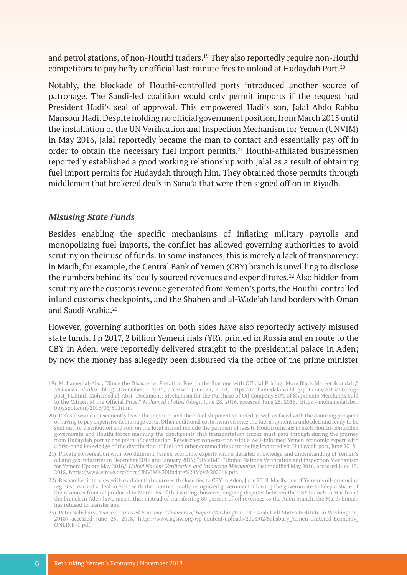and petrol stations, of non-Houthi traders.19 They also reportedly require non-Houthi competitors to pay hefty unofficial last-minute fees to unload at Hudaydah Port.<sup>20</sup>

Notably, the blockade of Houthi-controlled ports introduced another source of patronage. The Saudi-led coalition would only permit imports if the request had President Hadi's seal of approval. This empowered Hadi's son, Jalal Abdo Rabbu Mansour Hadi. Despite holding no official government position, from March 2015 until the installation of the UN Verification and Inspection Mechanism for Yemen (UNVIM) in May 2016, Jalal reportedly became the man to contact and essentially pay off in order to obtain the necessary fuel import permits.<sup>21</sup> Houthi-affiliated businessmen reportedly established a good working relationship with Jalal as a result of obtaining fuel import permits for Hudaydah through him. They obtained those permits through middlemen that brokered deals in Sana'a that were then signed off on in Riyadh.

#### *Misusing State Funds*

Besides enabling the specific mechanisms of inflating military payrolls and monopolizing fuel imports, the conflict has allowed governing authorities to avoid scrutiny on their use of funds. In some instances, this is merely a lack of transparency: in Marib, for example, the Central Bank of Yemen (CBY) branch is unwilling to disclose the numbers behind its locally sourced revenues and expenditures.<sup>22</sup> Also hidden from scrutiny are the customs revenue generated from Yemen's ports, the Houthi-controlled inland customs checkpoints, and the Shahen and al-Wade'ah land borders with Oman and Saudi Arabia.23

However, governing authorities on both sides have also reportedly actively misused state funds. I n 2017, 2 billion Yemeni rials (YR), printed in Russia and en route to the CBY in Aden, were reportedly delivered straight to the presidential palace in Aden; by now the money has allegedly been disbursed via the office of the prime minister

<sup>19)</sup> Mohamed al-Absi, "Since the Disaster of Flotation Fuel in the Stations with Official Pricing: More Black Market Scandals," *Mohamed al-Absi* (blog), December 5 2016, accessed June 25, 2018, [https://mohamedalabsi.blogspot.com/2015/11/blog](https://mohamedalabsi.blogspot.com/2015/11/blog-post_14.html)[post\\_14.html;](https://mohamedalabsi.blogspot.com/2015/11/blog-post_14.html) Mohamed al-Absi "Document: Mechanism for the Purchase of Oil Company 50% of Shipments Merchants Sold to the Citizen at the Official Price," *Mohamed al-Absi* (blog), June 28, 2016, accessed June 25, 2018, [https://mohamedalabsi.](https://mohamedalabsi.blogspot.com/2016/06/50.html) [blogspot.com/2016/06/50.html.](https://mohamedalabsi.blogspot.com/2016/06/50.html)

<sup>20)</sup> Refusal would consequently leave the importer and their fuel shipment stranded as well as faced with the daunting prospect of having to pay expensive demurrage costs. Other additional costs incurred once the fuel shipment is unloaded and ready to be sent out for distribution and sold on the local market include the payment of fees to Houthi officials in each Houthi-controlled governorate and Houthi forces manning the checkpoints that transportation trucks must pass through during the journey from Hudaydah port to the point of destination. Researcher conversation with a well-informed Yemen economic expert with a first-hand knowledge of the distribution of fuel and other commodities after being imported via Hudaydah port, June 2018.

<sup>21)</sup> Private conversation with two different Yemen economic experts with a detailed knowledge and understanding of Yemen's oil and gas industries in December 2017 and January 2017; "UNVIM"; "United Nations Verification and Inspection Mechanism for Yemen: Update May 2016," *United Nations Verification and Inspection Mechanism*, last modified May 2016, accessed June 15, 2018, <https://www.vimye.org/docs/UNVIM%20Update%20May%202016.pdf>.

<sup>22)</sup> Researcher interview with confidential source with close ties to CBY in Aden, June 2018. Marib, one of Yemen's oil-producing regions, reached a deal in 2017 with the internationally recognized government allowing the governorate to keep a share of the revenues from oil produced in Marib. As of this writing, however, ongoing disputes between the CBY branch in Marib and the branch in Aden have meant that instead of transferring 80 percent of oil revenues to the Aden branch, the Marib branch has refused to transfer any.

<sup>23)</sup> Peter Salisbury, *Yemen's Cratered Economy: Glimmers of Hope?* (Washington, DC: Arab Gulf States Institute in Washington, 2018) accessed June 25, 2018, [https://www.agsiw.org/wp-content/uploads/2018/02/Salisbury\\_Yemen-Cratered-Economy\\_](https://www.agsiw.org/wp-content/uploads/2018/02/Salisbury_Yemen-Cratered-Economy_ONLINE-1.pdf) [ONLINE-1.pdf.](https://www.agsiw.org/wp-content/uploads/2018/02/Salisbury_Yemen-Cratered-Economy_ONLINE-1.pdf)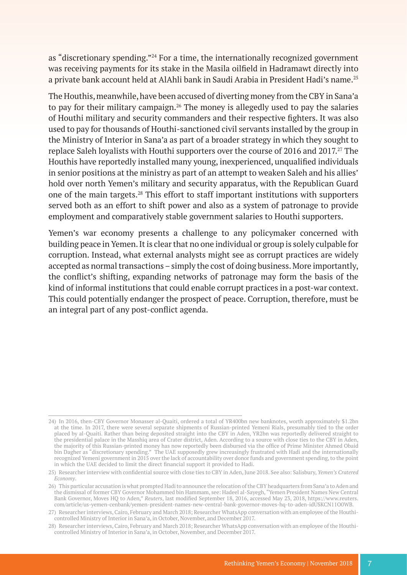as "discretionary spending."24 For a time, the internationally recognized government was receiving payments for its stake in the Masila oilfield in Hadramawt directly into a private bank account held at AlAhli bank in Saudi Arabia in President Hadi's name.25

The Houthis, meanwhile, have been accused of diverting money from the CBY in Sana'a to pay for their military campaign.<sup>26</sup> The money is allegedly used to pay the salaries of Houthi military and security commanders and their respective fighters. It was also used to pay for thousands of Houthi-sanctioned civil servants installed by the group in the Ministry of Interior in Sana'a as part of a broader strategy in which they sought to replace Saleh loyalists with Houthi supporters over the course of 2016 and 2017.<sup>27</sup> The Houthis have reportedly installed many young, inexperienced, unqualified individuals in senior positions at the ministry as part of an attempt to weaken Saleh and his allies' hold over north Yemen's military and security apparatus, with the Republican Guard one of the main targets.28 This effort to staff important institutions with supporters served both as an effort to shift power and also as a system of patronage to provide employment and comparatively stable government salaries to Houthi supporters.

Yemen's war economy presents a challenge to any policymaker concerned with building peace in Yemen. It is clear that no one individual or group is solely culpable for corruption. Instead, what external analysts might see as corrupt practices are widely accepted as normal transactions – simply the cost of doing business. More importantly, the conflict's shifting, expanding networks of patronage may form the basis of the kind of informal institutions that could enable corrupt practices in a post-war context. This could potentially endanger the prospect of peace. Corruption, therefore, must be an integral part of any post-conflict agenda.

<sup>24)</sup> In 2016, then-CBY Governor Monasser al-Quaiti, ordered a total of YR400bn new banknotes, worth approximately \$1.2bn at the time. In 2017, there were several separate shipments of Russian-printed Yemeni Rials, presumably tied to the order placed by al-Quaiti. Rather than being deposited straight into the CBY in Aden, YR2bn was reportedly delivered straight to the presidential palace in the Masshiq area of Crater district, Aden. According to a source with close ties to the CBY in Aden, the majority of this Russian-printed money has now reportedly been disbursed via the office of Prime Minister Ahmed Obaid bin Dagher as "discretionary spending." The UAE supposedly grew increasingly frustrated with Hadi and the internationally recognized Yemeni government in 2015 over the lack of accountability over donor funds and government spending, to the point in which the UAE decided to limit the direct financial support it provided to Hadi.

<sup>25)</sup> Researcher interview with confidential source with close ties to CBY in Aden, June 2018. See also: Salisbury, *Yemen's Cratered Economy*.

<sup>26)</sup> This particular accusation is what prompted Hadi to announce the relocation of the CBY headquarters from Sana'a to Aden and the dismissal of former CBY Governor Mohammed bin Hammam, see: Hadeel al-Sayegh, "Yemen President Names New Central Bank Governor, Moves HQ to Aden," *Reuters*, last modified September 18, 2016, accessed May 23, 2018, [https://www.reuters.](https://www.reuters.com/article/us-yemen-cenbank/yemen-president-names-new-central-bank-governor-mov) [com/article/us-yemen-cenbank/yemen-president-names-new-central-bank-governor-moves-hq-to-aden-idUSKCN11O0WB](https://www.reuters.com/article/us-yemen-cenbank/yemen-president-names-new-central-bank-governor-mov).

<sup>27)</sup> Researcher interviews, Cairo, February and March 2018; Researcher WhatsApp conversation with an employee of the Houthicontrolled Ministry of Interior in Sana'a, in October, November, and December 2017.

<sup>28)</sup> Researcher interviews, Cairo, February and March 2018; Researcher WhatsApp conversation with an employee of the Houthicontrolled Ministry of Interior in Sana'a, in October, November, and December 2017.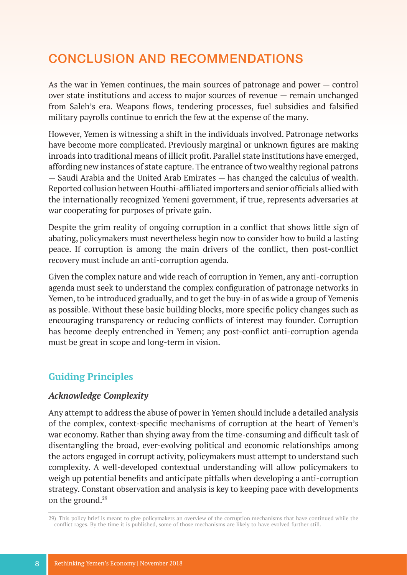# CONCLUSION AND RECOMMENDATIONS

As the war in Yemen continues, the main sources of patronage and power — control over state institutions and access to major sources of revenue — remain unchanged from Saleh's era. Weapons flows, tendering processes, fuel subsidies and falsified military payrolls continue to enrich the few at the expense of the many.

However, Yemen is witnessing a shift in the individuals involved. Patronage networks have become more complicated. Previously marginal or unknown figures are making inroads into traditional means of illicit profit. Parallel state institutions have emerged, affording new instances of state capture. The entrance of two wealthy regional patrons — Saudi Arabia and the United Arab Emirates — has changed the calculus of wealth. Reported collusion between Houthi-affiliated importers and senior officials allied with the internationally recognized Yemeni government, if true, represents adversaries at war cooperating for purposes of private gain.

Despite the grim reality of ongoing corruption in a conflict that shows little sign of abating, policymakers must nevertheless begin now to consider how to build a lasting peace. If corruption is among the main drivers of the conflict, then post-conflict recovery must include an anti-corruption agenda.

Given the complex nature and wide reach of corruption in Yemen, any anti-corruption agenda must seek to understand the complex configuration of patronage networks in Yemen, to be introduced gradually, and to get the buy-in of as wide a group of Yemenis as possible. Without these basic building blocks, more specific policy changes such as encouraging transparency or reducing conflicts of interest may founder. Corruption has become deeply entrenched in Yemen; any post-conflict anti-corruption agenda must be great in scope and long-term in vision.

### **Guiding Principles**

#### *Acknowledge Complexity*

Any attempt to address the abuse of power in Yemen should include a detailed analysis of the complex, context-specific mechanisms of corruption at the heart of Yemen's war economy. Rather than shying away from the time-consuming and difficult task of disentangling the broad, ever-evolving political and economic relationships among the actors engaged in corrupt activity, policymakers must attempt to understand such complexity. A well-developed contextual understanding will allow policymakers to weigh up potential benefits and anticipate pitfalls when developing a anti-corruption strategy. Constant observation and analysis is key to keeping pace with developments on the ground.<sup>29</sup>

<sup>29)</sup> This policy brief is meant to give policymakers an overview of the corruption mechanisms that have continued while the conflict rages. By the time it is published, some of those mechanisms are likely to have evolved further still.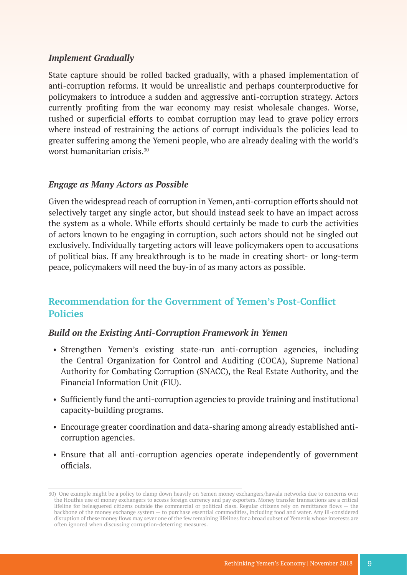#### *Implement Gradually*

State capture should be rolled backed gradually, with a phased implementation of anti-corruption reforms. It would be unrealistic and perhaps counterproductive for policymakers to introduce a sudden and aggressive anti-corruption strategy. Actors currently profiting from the war economy may resist wholesale changes. Worse, rushed or superficial efforts to combat corruption may lead to grave policy errors where instead of restraining the actions of corrupt individuals the policies lead to greater suffering among the Yemeni people, who are already dealing with the world's worst humanitarian crisis.30

#### *Engage as Many Actors as Possible*

Given the widespread reach of corruption in Yemen, anti-corruption efforts should not selectively target any single actor, but should instead seek to have an impact across the system as a whole. While efforts should certainly be made to curb the activities of actors known to be engaging in corruption, such actors should not be singled out exclusively. Individually targeting actors will leave policymakers open to accusations of political bias. If any breakthrough is to be made in creating short- or long-term peace, policymakers will need the buy-in of as many actors as possible.

### **Recommendation for the Government of Yemen's Post-Conflict Policies**

#### *Build on the Existing Anti-Corruption Framework in Yemen*

- Strengthen Yemen's existing state-run anti-corruption agencies, including the Central Organization for Control and Auditing (COCA), Supreme National Authority for Combating Corruption (SNACC), the Real Estate Authority, and the Financial Information Unit (FIU).
- Sufficiently fund the anti-corruption agencies to provide training and institutional capacity-building programs.
- Encourage greater coordination and data-sharing among already established anticorruption agencies.
- Ensure that all anti-corruption agencies operate independently of government officials.

<sup>30)</sup> One example might be a policy to clamp down heavily on Yemen money exchangers/hawala networks due to concerns over the Houthis use of money exchangers to access foreign currency and pay exporters. Money transfer transactions are a critical lifeline for beleaguered citizens outside the commercial or political class. Regular citizens rely on remittance flows — the backbone of the money exchange system — to purchase essential commodities, including food and water. Any ill-considered disruption of these money flows may sever one of the few remaining lifelines for a broad subset of Yemenis whose interests are often ignored when discussing corruption-deterring measures.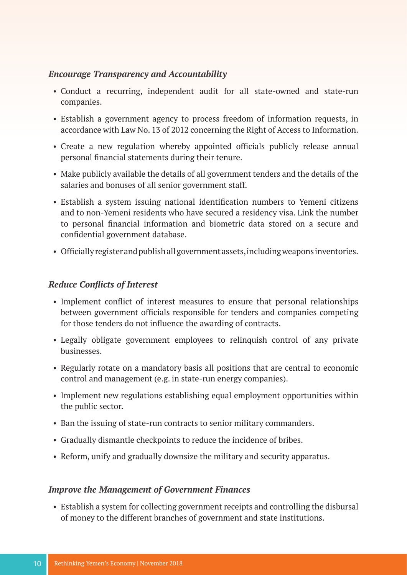#### *Encourage Transparency and Accountability*

- Conduct a recurring, independent audit for all state-owned and state-run companies.
- Establish a government agency to process freedom of information requests, in accordance with Law No. 13 of 2012 concerning the Right of Access to Information.
- Create a new regulation whereby appointed officials publicly release annual personal financial statements during their tenure.
- Make publicly available the details of all government tenders and the details of the salaries and bonuses of all senior government staff.
- Establish a system issuing national identification numbers to Yemeni citizens and to non-Yemeni residents who have secured a residency visa. Link the number to personal financial information and biometric data stored on a secure and confidential government database.
- Officially register and publish all government assets, including weapons inventories.

#### *Reduce Conflicts of Interest*

- Implement conflict of interest measures to ensure that personal relationships between government officials responsible for tenders and companies competing for those tenders do not influence the awarding of contracts.
- Legally obligate government employees to relinquish control of any private businesses.
- Regularly rotate on a mandatory basis all positions that are central to economic control and management (e.g. in state-run energy companies).
- Implement new regulations establishing equal employment opportunities within the public sector.
- Ban the issuing of state-run contracts to senior military commanders.
- Gradually dismantle checkpoints to reduce the incidence of bribes.
- Reform, unify and gradually downsize the military and security apparatus.

#### *Improve the Management of Government Finances*

• Establish a system for collecting government receipts and controlling the disbursal of money to the different branches of government and state institutions.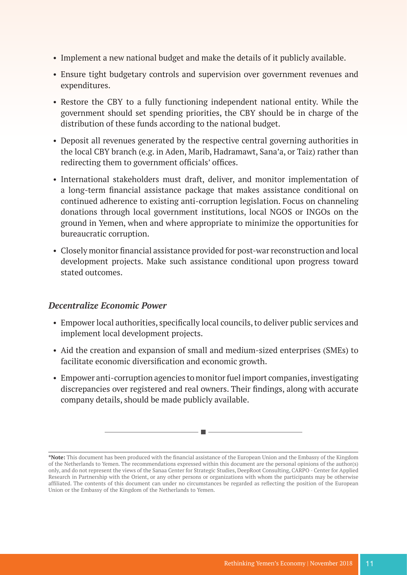- Implement a new national budget and make the details of it publicly available.
- Ensure tight budgetary controls and supervision over government revenues and expenditures.
- Restore the CBY to a fully functioning independent national entity. While the government should set spending priorities, the CBY should be in charge of the distribution of these funds according to the national budget.
- Deposit all revenues generated by the respective central governing authorities in the local CBY branch (e.g. in Aden, Marib, Hadramawt, Sana'a, or Taiz) rather than redirecting them to government officials' offices.
- International stakeholders must draft, deliver, and monitor implementation of a long-term financial assistance package that makes assistance conditional on continued adherence to existing anti-corruption legislation. Focus on channeling donations through local government institutions, local NGOS or INGOs on the ground in Yemen, when and where appropriate to minimize the opportunities for bureaucratic corruption.
- Closely monitor financial assistance provided for post-war reconstruction and local development projects. Make such assistance conditional upon progress toward stated outcomes.

#### *Decentralize Economic Power*

- Empower local authorities, specifically local councils, to deliver public services and implement local development projects.
- Aid the creation and expansion of small and medium-sized enterprises (SMEs) to facilitate economic diversification and economic growth.
- Empower anti-corruption agencies to monitor fuel import companies, investigating discrepancies over registered and real owners. Their findings, along with accurate company details, should be made publicly available.

**<sup>\*</sup>Note:** This document has been produced with the financial assistance of the European Union and the Embassy of the Kingdom of the Netherlands to Yemen. The recommendations expressed within this document are the personal opinions of the author(s) only, and do not represent the views of the Sanaa Center for Strategic Studies, DeepRoot Consulting, CARPO - Center for Applied Research in Partnership with the Orient, or any other persons or organizations with whom the participants may be otherwise affiliated. The contents of this document can under no circumstances be regarded as reflecting the position of the European Union or the Embassy of the Kingdom of the Netherlands to Yemen.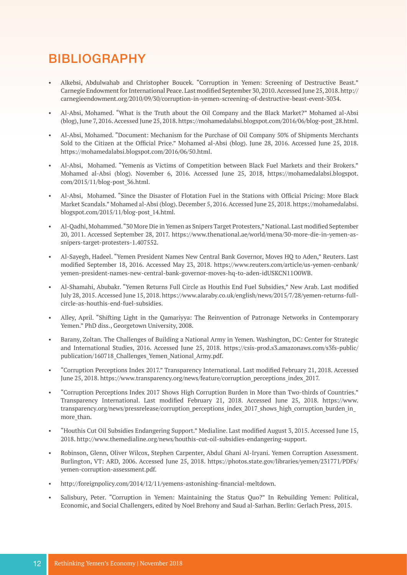# BIBLIOGRAPHY

- Alkebsi, Abdulwahab and Christopher Boucek. "Corruption in Yemen: Screening of Destructive Beast." Carnegie Endowment for International Peace. Last modified September 30, 2010. Accessed June 25, 2018. [http://](http://carnegieendowment.org/2010/09/30/corruption-in-yemen-screening-of-destructive-beast-event-303) [carnegieendowment.org/2010/09/30/corruption-in-yemen-screening-of-destructive-beast-event-3034.](http://carnegieendowment.org/2010/09/30/corruption-in-yemen-screening-of-destructive-beast-event-303)
- Al-Absi, Mohamed. "What is the Truth about the Oil Company and the Black Market?" Mohamed al-Absi (blog), June 7, 2016. Accessed June 25, 2018. [https://mohamedalabsi.blogspot.com/2016/06/blog-post\\_28.html.](https://mohamedalabsi.blogspot.com/2016/06/blog-post_28.html)
- Al-Absi, Mohamed. "Document: Mechanism for the Purchase of Oil Company 50% of Shipments Merchants Sold to the Citizen at the Official Price." Mohamed al-Absi (blog). June 28, 2016. Accessed June 25, 2018. [https://mohamedalabsi.blogspot.com/2016/06/50.html.](https://mohamedalabsi.blogspot.com/2016/06/50.html)
- Al-Absi, Mohamed. "Yemenis as Victims of Competition between Black Fuel Markets and their Brokers." Mohamed al-Absi (blog). November 6, 2016. Accessed June 25, 2018, [https://mohamedalabsi.blogspot.](https://mohamedalabsi.blogspot.com/2015/11/blog-post_36.html) [com/2015/11/blog-post\\_36.html](https://mohamedalabsi.blogspot.com/2015/11/blog-post_36.html).
- Al-Absi, Mohamed. "Since the Disaster of Flotation Fuel in the Stations with Official Pricing: More Black Market Scandals." Mohamed al-Absi (blog). December 5, 2016. Accessed June 25, 2018. [https://mohamedalabsi.](https://mohamedalabsi.blogspot.com/2015/11/blog-post_14.html) [blogspot.com/2015/11/blog-post\\_14.html](https://mohamedalabsi.blogspot.com/2015/11/blog-post_14.html).
- Al-Qadhi, Mohammed. "30 More Die in Yemen as Snipers Target Protesters," National. Last modified September 20, 2011. Accessed September 28, 2017. [https://www.thenational.ae/world/mena/30-more-die-in-yemen-as](https://www.thenational.ae/world/mena/30-more-die-in-yemen-as-snipers-target-protesters-1.407552)[snipers-target-protesters-1.407552](https://www.thenational.ae/world/mena/30-more-die-in-yemen-as-snipers-target-protesters-1.407552).
- Al-Sayegh, Hadeel. "Yemen President Names New Central Bank Governor, Moves HQ to Aden," Reuters. Last modified September 18, 2016. Accessed May 23, 2018. [https://www.reuters.com/article/us-yemen-cenbank/](https://www.reuters.com/article/us-yemen-cenbank/yemen-president-names-new-central-bank-governor-mov) [yemen-president-names-new-central-bank-governor-moves-hq-to-aden-idUSKCN11O0WB.](https://www.reuters.com/article/us-yemen-cenbank/yemen-president-names-new-central-bank-governor-mov)
- Al-Shamahi, Abubakr. "Yemen Returns Full Circle as Houthis End Fuel Subsidies," New Arab. Last modified July 28, 2015. Accessed June 15, 2018. [https://www.alaraby.co.uk/english/news/2015/7/28/yemen-returns-full](https://www.alaraby.co.uk/english/news/2015/7/28/yemen-returns-full-circle-as-houthis-end-fuel-subsi)[circle-as-houthis-end-fuel-subsidies.](https://www.alaraby.co.uk/english/news/2015/7/28/yemen-returns-full-circle-as-houthis-end-fuel-subsi)
- Alley, April. "Shifting Light in the Qamariyya: The Reinvention of Patronage Networks in Contemporary Yemen." PhD diss., Georgetown University, 2008.
- Barany, Zoltan. The Challenges of Building a National Army in Yemen. Washington, DC: Center for Strategic and International Studies, 2016. Accessed June 25, 2018. [https://csis-prod.s3.amazonaws.com/s3fs-public/](https://csis-prod.s3.amazonaws.com/s3fs-public/publication/160718_Challenges_Yemen_National_Army.pdf) publication/160718 Challenges Yemen National Army.pdf.
- "Corruption Perceptions Index 2017." Transparency International. Last modified February 21, 2018. Accessed June 25, 2018. [https://www.transparency.org/news/feature/corruption\\_perceptions\\_index\\_2017.](https://www.transparency.org/news/feature/corruption_perceptions_index_2017)
- "Corruption Perceptions Index 2017 Shows High Corruption Burden in More than Two-thirds of Countries." Transparency International. Last modified February 21, 2018. Accessed June 25, 2018. [https://www.](https://www.transparency.org/news/pressrelease/corruption_perceptions_index_2017_shows_high_corruption_burden_in_more_than) transparency.org/news/pressrelease/corruption\_perceptions\_index\_2017\_shows\_high\_corruption\_burden\_in more than.
- "Houthis Cut Oil Subsidies Endangering Support." Medialine. Last modified August 3, 2015. Accessed June 15, 2018. [http://www.themedialine.org/news/houthis-cut-oil-subsidies-endangering-support.](http://www.themedialine.org/news/houthis-cut-oil-subsidies-endangering-support)
- Robinson, Glenn, Oliver Wilcox, Stephen Carpenter, Abdul Ghani Al-Iryani. Yemen Corruption Assessment. Burlington, VT: ARD, 2006. Accessed June 25, 2018. [https://photos.state.gov/libraries/yemen/231771/PDFs/](https://photos.state.gov/libraries/yemen/231771/PDFs/yemen-corruption-assessment.pdf) [yemen-corruption-assessment.pdf.](https://photos.state.gov/libraries/yemen/231771/PDFs/yemen-corruption-assessment.pdf)
- <http://foreignpolicy.com/2014/12/11/yemens-astonishing-financial-meltdown>.
- Salisbury, Peter. "Corruption in Yemen: Maintaining the Status Quo?" In Rebuilding Yemen: Political, Economic, and Social Challengers, edited by Noel Brehony and Saud al-Sarhan. Berlin: Gerlach Press, 2015.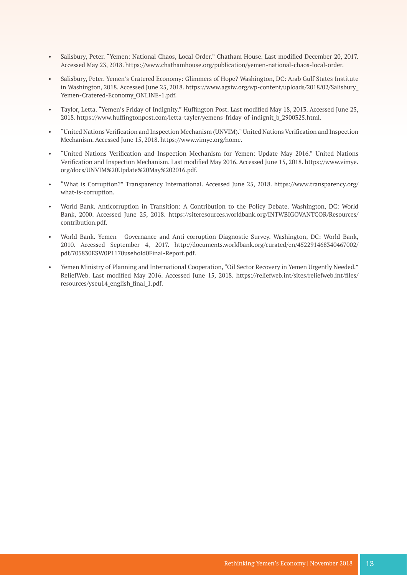- Salisbury, Peter. "Yemen: National Chaos, Local Order." Chatham House. Last modified December 20, 2017. Accessed May 23, 2018. [https://www.chathamhouse.org/publication/yemen-national-chaos-local-order.](https://www.chathamhouse.org/publication/yemen-national-chaos-local-order)
- Salisbury, Peter. Yemen's Cratered Economy: Glimmers of Hope? Washington, DC: Arab Gulf States Institute in Washington, 2018. Accessed June 25, 2018. [https://www.agsiw.org/wp-content/uploads/2018/02/Salisbury\\_](https://www.agsiw.org/wp-content/uploads/2018/02/Salisbury_Yemen-Cratered-Economy_ONLINE-1.pdf) [Yemen-Cratered-Economy\\_ONLINE-1.pdf](https://www.agsiw.org/wp-content/uploads/2018/02/Salisbury_Yemen-Cratered-Economy_ONLINE-1.pdf).
- Taylor, Letta. "Yemen's Friday of Indignity." Huffington Post. Last modified May 18, 2013. Accessed June 25, 2018. [https://www.huffingtonpost.com/letta-tayler/yemens-friday-of-indignit\\_b\\_2900325.html](https://www.huffingtonpost.com/letta-tayler/yemens-friday-of-indignit_b_2900325.html).
- "United Nations Verification and Inspection Mechanism (UNVIM)." United Nations Verification and Inspection Mechanism. Accessed June 15, 2018. <https://www.vimye.org/home>.
- "United Nations Verification and Inspection Mechanism for Yemen: Update May 2016." United Nations Verification and Inspection Mechanism. Last modified May 2016. Accessed June 15, 2018. [https://www.vimye.](https://www.vimye.org/docs/UNVIM%20Update%20May%202016.pdf) [org/docs/UNVIM%20Update%20May%202016.pdf](https://www.vimye.org/docs/UNVIM%20Update%20May%202016.pdf).
- "What is Corruption?" Transparency International. Accessed June 25, 2018. [https://www.transparency.org/](https://www.transparency.org/what-is-corruption) [what-is-corruption.](https://www.transparency.org/what-is-corruption)
- World Bank. Anticorruption in Transition: A Contribution to the Policy Debate. Washington, DC: World Bank, 2000. Accessed June 25, 2018. [https://siteresources.worldbank.org/INTWBIGOVANTCOR/Resources/](https://siteresources.worldbank.org/INTWBIGOVANTCOR/Resources/contribution.pdf) [contribution.pdf.](https://siteresources.worldbank.org/INTWBIGOVANTCOR/Resources/contribution.pdf)
- World Bank. Yemen Governance and Anti-corruption Diagnostic Survey. Washington, DC: World Bank, 2010. Accessed September 4, 2017. [http://documents.worldbank.org/curated/en/452291468340467002/](http://documents.worldbank.org/curated/en/452291468340467002/pdf/705830ESW0P1170usehold0Final-Report.pdf) [pdf/705830ESW0P1170usehold0Final-Report.pdf.](http://documents.worldbank.org/curated/en/452291468340467002/pdf/705830ESW0P1170usehold0Final-Report.pdf)
- Yemen Ministry of Planning and International Cooperation, "Oil Sector Recovery in Yemen Urgently Needed." ReliefWeb. Last modified May 2016. Accessed June 15, 2018. [https://reliefweb.int/sites/reliefweb.int/files/](https://reliefweb.int/sites/reliefweb.int/files/resources/yseu14_english_final_1.pdf) [resources/yseu14\\_english\\_final\\_1.pdf](https://reliefweb.int/sites/reliefweb.int/files/resources/yseu14_english_final_1.pdf).